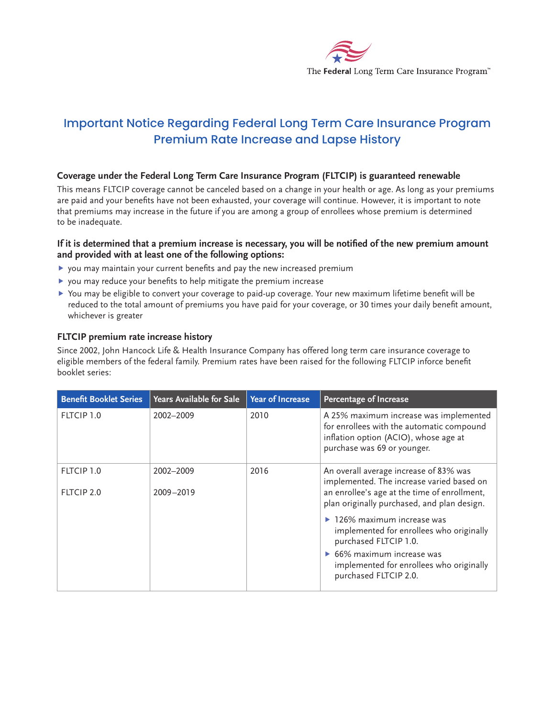

# Important Notice Regarding Federal Long Term Care Insurance Program Premium Rate Increase and Lapse History

## **Coverage under the Federal Long Term Care Insurance Program (FLTCIP) is guaranteed renewable**

This means FLTCIP coverage cannot be canceled based on a change in your health or age. As long as your premiums are paid and your benefts have not been exhausted, your coverage will continue. However, it is important to note that premiums may increase in the future if you are among a group of enrollees whose premium is determined to be inadequate.

#### **If it is determined that a premium increase is necessary, you will be notifed of the new premium amount and provided with at least one of the following options:**

- $\blacktriangleright$  you may maintain your current benefits and pay the new increased premium
- $\blacktriangleright$  you may reduce your benefits to help mitigate the premium increase
- $\blacktriangleright$  You may be eligible to convert your coverage to paid-up coverage. Your new maximum lifetime benefit will be reduced to the total amount of premiums you have paid for your coverage, or 30 times your daily beneft amount, whichever is greater

#### **FLTCIP premium rate increase history**

Since 2002, John Hancock Life & Health Insurance Company has offered long term care insurance coverage to eligible members of the federal family. Premium rates have been raised for the following FLTCIP inforce beneft booklet series:

| <b>Benefit Booklet Series</b> | <b>Years Available for Sale</b> | <b>Year of Increase</b> | <b>Percentage of Increase</b>                                                                                                                                                                                                          |
|-------------------------------|---------------------------------|-------------------------|----------------------------------------------------------------------------------------------------------------------------------------------------------------------------------------------------------------------------------------|
| FLTCIP 1.0                    | 2002-2009                       | 2010                    | A 25% maximum increase was implemented<br>for enrollees with the automatic compound<br>inflation option (ACIO), whose age at<br>purchase was 69 or younger.                                                                            |
| FLTCIP 1.0<br>FLTCIP 2.0      | 2002-2009<br>2009-2019          | 2016                    | An overall average increase of 83% was<br>implemented. The increase varied based on<br>an enrollee's age at the time of enrollment,<br>plan originally purchased, and plan design.                                                     |
|                               |                                 |                         | $\blacktriangleright$ 126% maximum increase was<br>implemented for enrollees who originally<br>purchased FLTCIP 1.0.<br>$\triangleright$ 66% maximum increase was<br>implemented for enrollees who originally<br>purchased FLTCIP 2.0. |